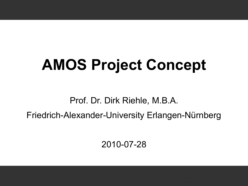# **AMOS Project Concept**

Prof. Dr. Dirk Riehle, M.B.A.

Friedrich-Alexander-University Erlangen-Nürnberg

2010-07-28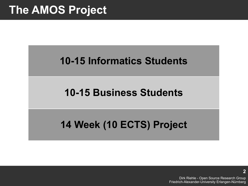## **The AMOS Project**

### **10-15 Informatics Students**

### **10-15 Business Students**

### **14 Week (10 ECTS) Project**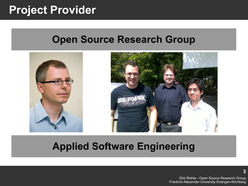### **Project Provider**

### **Open Source Research Group**



### **Applied Software Engineering**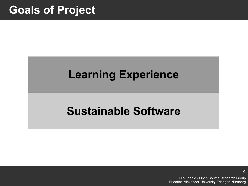### **Goals of Project**

### **Learning Experience**

### **Sustainable Software**

Dirk Riehle - Open Source Research Group Friedrich-Alexander-University Erlangen-Nürnberg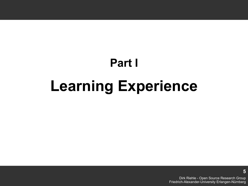# **Part I Learning Experience**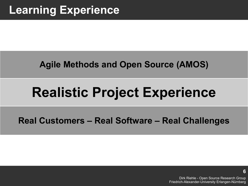### **Agile Methods and Open Source (AMOS)**

## **Realistic Project Experience**

### **Real Customers – Real Software – Real Challenges**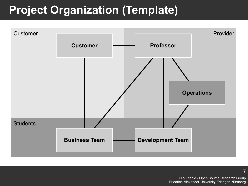## **Project Organization (Template)**



Dirk Riehle - Open Source Research Group Friedrich-Alexander-University Erlangen-Nürnberg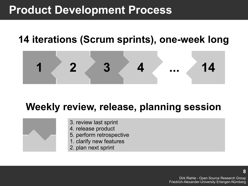### **Product Development Process**

### **14 iterations (Scrum sprints), one-week long**

![](_page_7_Figure_2.jpeg)

### **Weekly review, release, planning session**

![](_page_7_Figure_4.jpeg)

- 3. review last sprint
- 4. release product
- 5. perform retrospective
- 1. clarify new features
- 2. plan next sprint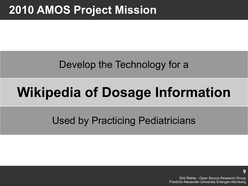## **2010 AMOS Project Mission**

### Develop the Technology for a

## **Wikipedia of Dosage Information**

### Used by Practicing Pediatricians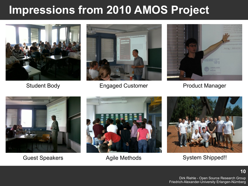## **Impressions from 2010 AMOS Project**

![](_page_9_Picture_1.jpeg)

![](_page_9_Picture_3.jpeg)

Student Body **Engaged Customer** Product Manager

![](_page_9_Picture_5.jpeg)

![](_page_9_Picture_7.jpeg)

![](_page_9_Picture_9.jpeg)

![](_page_9_Picture_11.jpeg)

Guest Speakers **Agile Methods** System Shipped!!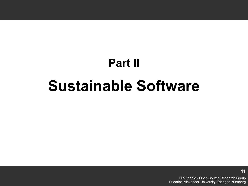# **Part II Sustainable Software**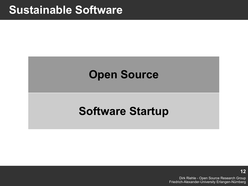### **Sustainable Software**

### **Open Source**

### **Software Startup**

Dirk Riehle - Open Source Research Group Friedrich-Alexander-University Erlangen-Nürnberg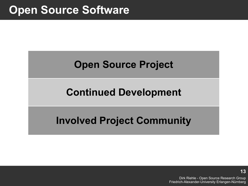### **Open Source Software**

### **Open Source Project**

### **Continued Development**

### **Involved Project Community**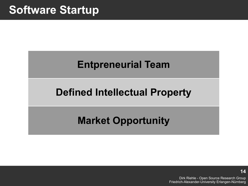### **Entpreneurial Team**

### **Defined Intellectual Property**

### **Market Opportunity**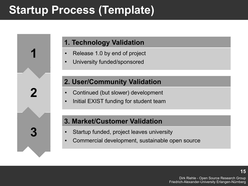## **Startup Process (Template)**

**1**

**2**

**3**

#### **1. Technology Validation**

- Release 1.0 by end of project
- University funded/sponsored

#### **2. User/Community Validation**

- Continued (but slower) development
- Initial EXIST funding for student team

#### **3. Market/Customer Validation**

- Startup funded, project leaves university
- Commercial development, sustainable open source